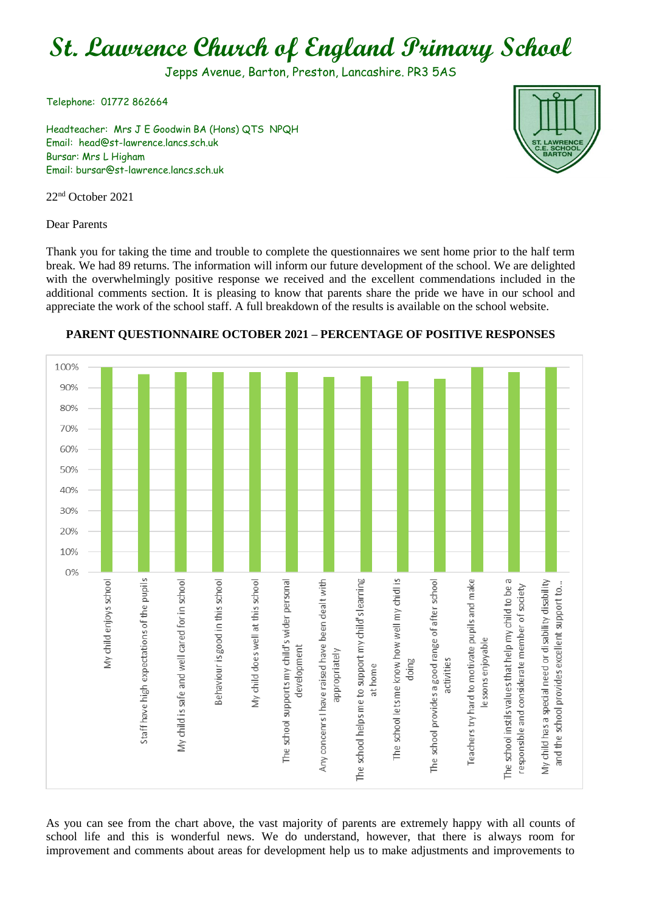# **St. Lawrence Church of England Primary School**

Jepps Avenue, Barton, Preston, Lancashire. PR3 5AS

Telephone: 01772 862664

Headteacher: Mrs J E Goodwin BA (Hons) QTS NPQH Email: head@st-lawrence.lancs.sch.uk Bursar: Mrs L Higham Email: bursar@st-lawrence.lancs.sch.uk

22nd October 2021

Dear Parents

Thank you for taking the time and trouble to complete the questionnaires we sent home prior to the half term break. We had 89 returns. The information will inform our future development of the school. We are delighted with the overwhelmingly positive response we received and the excellent commendations included in the additional comments section. It is pleasing to know that parents share the pride we have in our school and appreciate the work of the school staff. A full breakdown of the results is available on the school website.



#### **PARENT QUESTIONNAIRE OCTOBER 2021 – PERCENTAGE OF POSITIVE RESPONSES**

As you can see from the chart above, the vast majority of parents are extremely happy with all counts of school life and this is wonderful news. We do understand, however, that there is always room for improvement and comments about areas for development help us to make adjustments and improvements to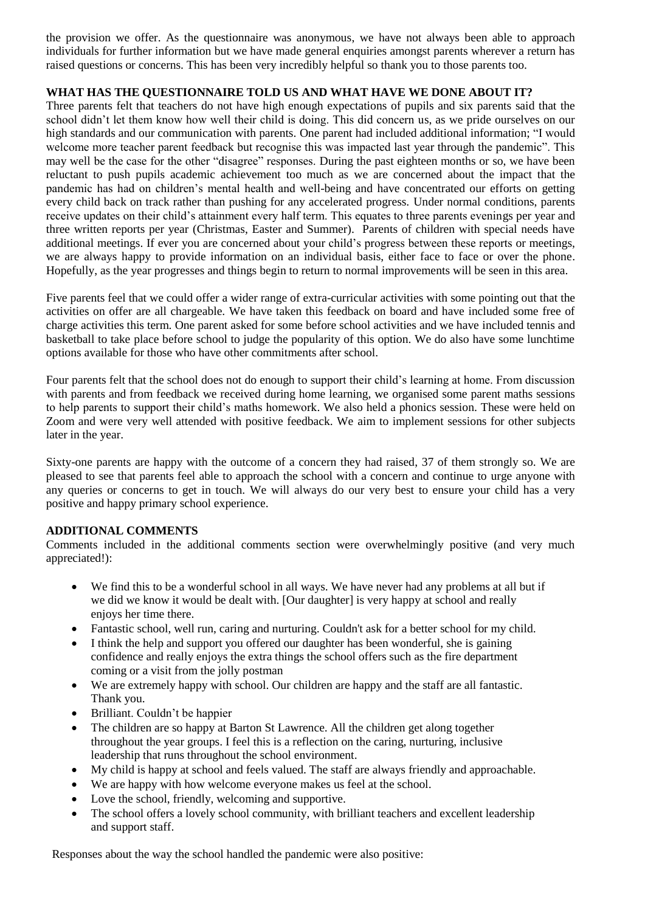the provision we offer. As the questionnaire was anonymous, we have not always been able to approach individuals for further information but we have made general enquiries amongst parents wherever a return has raised questions or concerns. This has been very incredibly helpful so thank you to those parents too.

#### **WHAT HAS THE QUESTIONNAIRE TOLD US AND WHAT HAVE WE DONE ABOUT IT?**

Three parents felt that teachers do not have high enough expectations of pupils and six parents said that the school didn't let them know how well their child is doing. This did concern us, as we pride ourselves on our high standards and our communication with parents. One parent had included additional information; "I would welcome more teacher parent feedback but recognise this was impacted last year through the pandemic". This may well be the case for the other "disagree" responses. During the past eighteen months or so, we have been reluctant to push pupils academic achievement too much as we are concerned about the impact that the pandemic has had on children's mental health and well-being and have concentrated our efforts on getting every child back on track rather than pushing for any accelerated progress. Under normal conditions, parents receive updates on their child's attainment every half term. This equates to three parents evenings per year and three written reports per year (Christmas, Easter and Summer). Parents of children with special needs have additional meetings. If ever you are concerned about your child's progress between these reports or meetings, we are always happy to provide information on an individual basis, either face to face or over the phone. Hopefully, as the year progresses and things begin to return to normal improvements will be seen in this area.

Five parents feel that we could offer a wider range of extra-curricular activities with some pointing out that the activities on offer are all chargeable. We have taken this feedback on board and have included some free of charge activities this term. One parent asked for some before school activities and we have included tennis and basketball to take place before school to judge the popularity of this option. We do also have some lunchtime options available for those who have other commitments after school.

Four parents felt that the school does not do enough to support their child's learning at home. From discussion with parents and from feedback we received during home learning, we organised some parent maths sessions to help parents to support their child's maths homework. We also held a phonics session. These were held on Zoom and were very well attended with positive feedback. We aim to implement sessions for other subjects later in the year.

Sixty-one parents are happy with the outcome of a concern they had raised, 37 of them strongly so. We are pleased to see that parents feel able to approach the school with a concern and continue to urge anyone with any queries or concerns to get in touch. We will always do our very best to ensure your child has a very positive and happy primary school experience.

#### **ADDITIONAL COMMENTS**

Comments included in the additional comments section were overwhelmingly positive (and very much appreciated!):

- We find this to be a wonderful school in all ways. We have never had any problems at all but if we did we know it would be dealt with. [Our daughter] is very happy at school and really enjoys her time there.
- Fantastic school, well run, caring and nurturing. Couldn't ask for a better school for my child.
- I think the help and support you offered our daughter has been wonderful, she is gaining confidence and really enjoys the extra things the school offers such as the fire department coming or a visit from the jolly postman
- We are extremely happy with school. Our children are happy and the staff are all fantastic. Thank you.
- Brilliant. Couldn't be happier
- The children are so happy at Barton St Lawrence. All the children get along together throughout the year groups. I feel this is a reflection on the caring, nurturing, inclusive leadership that runs throughout the school environment.
- My child is happy at school and feels valued. The staff are always friendly and approachable.
- We are happy with how welcome everyone makes us feel at the school.
- Love the school, friendly, welcoming and supportive.
- The school offers a lovely school community, with brilliant teachers and excellent leadership and support staff.

Responses about the way the school handled the pandemic were also positive: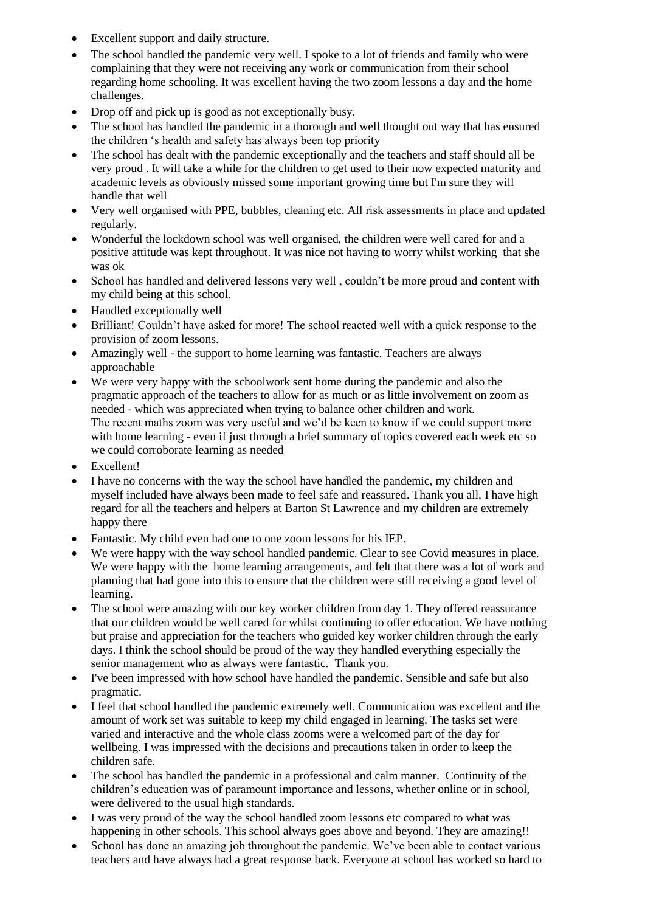- Excellent support and daily structure.
- The school handled the pandemic very well. I spoke to a lot of friends and family who were complaining that they were not receiving any work or communication from their school regarding home schooling. It was excellent having the two zoom lessons a day and the home challenges.
- Drop off and pick up is good as not exceptionally busy.
- The school has handled the pandemic in a thorough and well thought out way that has ensured the children 's health and safety has always been top priority
- The school has dealt with the pandemic exceptionally and the teachers and staff should all be very proud . It will take a while for the children to get used to their now expected maturity and academic levels as obviously missed some important growing time but I'm sure they will handle that well
- Very well organised with PPE, bubbles, cleaning etc. All risk assessments in place and updated regularly.
- Wonderful the lockdown school was well organised, the children were well cared for and a positive attitude was kept throughout. It was nice not having to worry whilst working that she was ok
- School has handled and delivered lessons very well , couldn't be more proud and content with my child being at this school.
- Handled exceptionally well
- Brilliant! Couldn't have asked for more! The school reacted well with a quick response to the provision of zoom lessons.
- Amazingly well the support to home learning was fantastic. Teachers are always approachable
- We were very happy with the schoolwork sent home during the pandemic and also the pragmatic approach of the teachers to allow for as much or as little involvement on zoom as needed - which was appreciated when trying to balance other children and work. The recent maths zoom was very useful and we'd be keen to know if we could support more with home learning - even if just through a brief summary of topics covered each week etc so we could corroborate learning as needed
- Excellent!
- I have no concerns with the way the school have handled the pandemic, my children and myself included have always been made to feel safe and reassured. Thank you all, I have high regard for all the teachers and helpers at Barton St Lawrence and my children are extremely happy there
- Fantastic. My child even had one to one zoom lessons for his IEP.
- We were happy with the way school handled pandemic. Clear to see Covid measures in place. We were happy with the home learning arrangements, and felt that there was a lot of work and planning that had gone into this to ensure that the children were still receiving a good level of learning.
- The school were amazing with our key worker children from day 1. They offered reassurance that our children would be well cared for whilst continuing to offer education. We have nothing but praise and appreciation for the teachers who guided key worker children through the early days. I think the school should be proud of the way they handled everything especially the senior management who as always were fantastic. Thank you.
- I've been impressed with how school have handled the pandemic. Sensible and safe but also pragmatic.
- I feel that school handled the pandemic extremely well. Communication was excellent and the amount of work set was suitable to keep my child engaged in learning. The tasks set were varied and interactive and the whole class zooms were a welcomed part of the day for wellbeing. I was impressed with the decisions and precautions taken in order to keep the children safe.
- The school has handled the pandemic in a professional and calm manner. Continuity of the children's education was of paramount importance and lessons, whether online or in school, were delivered to the usual high standards.
- I was very proud of the way the school handled zoom lessons etc compared to what was happening in other schools. This school always goes above and beyond. They are amazing!!
- School has done an amazing job throughout the pandemic. We've been able to contact various teachers and have always had a great response back. Everyone at school has worked so hard to